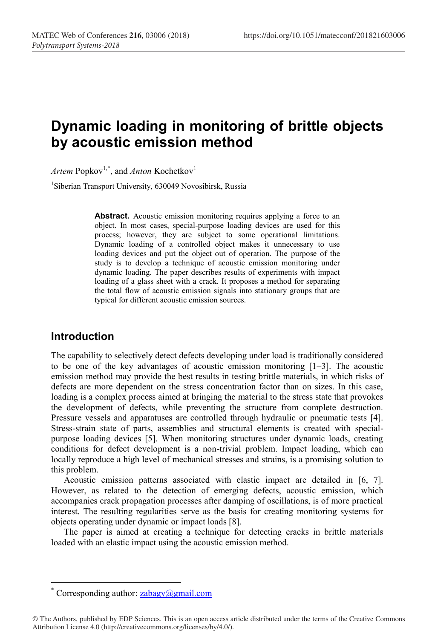# **Dynamic loading in monitoring of brittle objects by acoustic emission method**

Artem Popkov<sup>1,\*</sup>, and *Anton* Kochetkov<sup>1</sup>

1 Siberian Transport University, 630049 Novosibirsk, Russia

Abstract. Acoustic emission monitoring requires applying a force to an object. In most cases, special-purpose loading devices are used for this process; however, they are subject to some operational limitations. Dynamic loading of a controlled object makes it unnecessary to use loading devices and put the object out of operation. The purpose of the study is to develop a technique of acoustic emission monitoring under dynamic loading. The paper describes results of experiments with impact loading of a glass sheet with a crack. It proposes a method for separating the total flow of acoustic emission signals into stationary groups that are typical for different acoustic emission sources.

#### **Introduction**

The capability to selectively detect defects developing under load is traditionally considered to be one of the key advantages of acoustic emission monitoring  $[1-3]$ . The acoustic emission method may provide the best results in testing brittle materials, in which risks of defects are more dependent on the stress concentration factor than on sizes. In this case, loading is a complex process aimed at bringing the material to the stress state that provokes the development of defects, while preventing the structure from complete destruction. Pressure vessels and apparatuses are controlled through hydraulic or pneumatic tests [4]. Stress-strain state of parts, assemblies and structural elements is created with specialpurpose loading devices [5]. When monitoring structures under dynamic loads, creating conditions for defect development is a non-trivial problem. Impact loading, which can locally reproduce a high level of mechanical stresses and strains, is a promising solution to this problem.

Acoustic emission patterns associated with elastic impact are detailed in [6, 7]. However, as related to the detection of emerging defects, acoustic emission, which accompanies crack propagation processes after damping of oscillations, is of more practical interest. The resulting regularities serve as the basis for creating monitoring systems for objects operating under dynamic or impact loads [8].

The paper is aimed at creating a technique for detecting cracks in brittle materials loaded with an elastic impact using the acoustic emission method.

Corresponding author:  $zabagy(a)$ gmail.com

<sup>©</sup> The Authors, published by EDP Sciences. This is an open access article distributed under the terms of the Creative Commons Attribution License 4.0 (http://creativecommons.org/licenses/by/4.0/).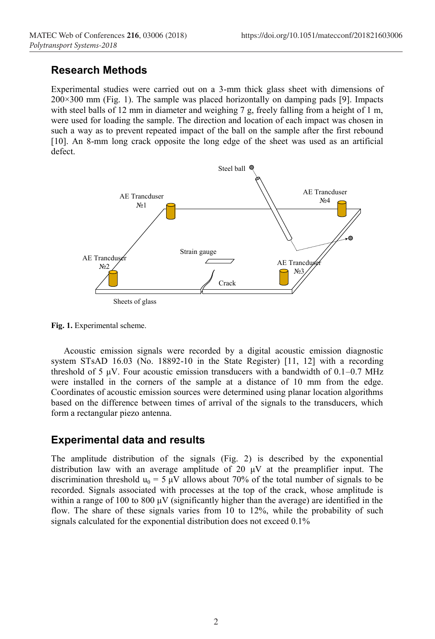## **Research Methods**

Experimental studies were carried out on a 3-mm thick glass sheet with dimensions of  $200\times300$  mm (Fig. 1). The sample was placed horizontally on damping pads [9]. Impacts with steel balls of 12 mm in diameter and weighing 7 g, freely falling from a height of 1 m, were used for loading the sample. The direction and location of each impact was chosen in such a way as to prevent repeated impact of the ball on the sample after the first rebound [10]. An 8-mm long crack opposite the long edge of the sheet was used as an artificial defect.



**Fig. 1.** Experimental scheme.

Acoustic emission signals were recorded by a digital acoustic emission diagnostic system STsAD 16.03 (No. 18892-10 in the State Register) [11, 12] with a recording threshold of 5  $\mu$ V. Four acoustic emission transducers with a bandwidth of 0.1–0.7 MHz were installed in the corners of the sample at a distance of 10 mm from the edge. Coordinates of acoustic emission sources were determined using planar location algorithms based on the difference between times of arrival of the signals to the transducers, which form a rectangular piezo antenna.

### **Experimental data and results**

The amplitude distribution of the signals (Fig. 2) is described by the exponential distribution law with an average amplitude of 20 μV at the preamplifier input. The discrimination threshold  $u_0 = 5 \mu V$  allows about 70% of the total number of signals to be recorded. Signals associated with processes at the top of the crack, whose amplitude is within a range of 100 to 800  $\mu$ V (significantly higher than the average) are identified in the flow. The share of these signals varies from 10 to 12%, while the probability of such signals calculated for the exponential distribution does not exceed 0.1%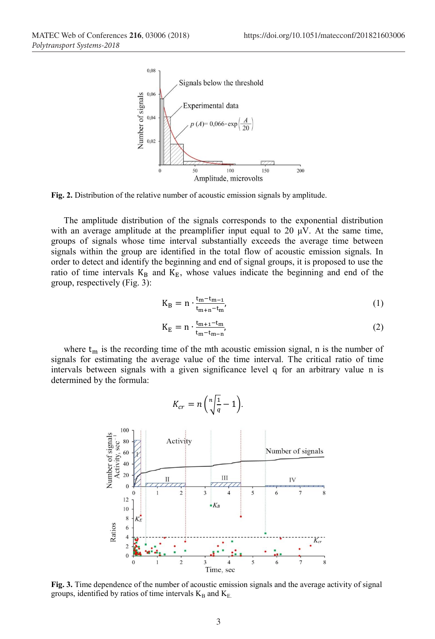

**Fig. 2.** Distribution of the relative number of acoustic emission signals by amplitude.

The amplitude distribution of the signals corresponds to the exponential distribution with an average amplitude at the preamplifier input equal to 20  $\mu$ V. At the same time, groups of signals whose time interval substantially exceeds the average time between signals within the group are identified in the total flow of acoustic emission signals. In order to detect and identify the beginning and end of signal groups, it is proposed to use the ratio of time intervals  $K_B$  and  $K_E$ , whose values indicate the beginning and end of the group, respectively (Fig. 3):

$$
K_B = n \cdot \frac{t_m - t_{m-1}}{t_{m+n} - t_m},\tag{1}
$$

$$
K_E = n \cdot \frac{t_{m+1} - t_m}{t_m - t_{m-n}},\tag{2}
$$

where  $t_m$  is the recording time of the mth acoustic emission signal, n is the number of signals for estimating the average value of the time interval. The critical ratio of time intervals between signals with a given significance level q for an arbitrary value n is determined by the formula:



**Fig. 3.** Time dependence of the number of acoustic emission signals and the average activity of signal groups, identified by ratios of time intervals  $K_B$  and  $K_E$ .